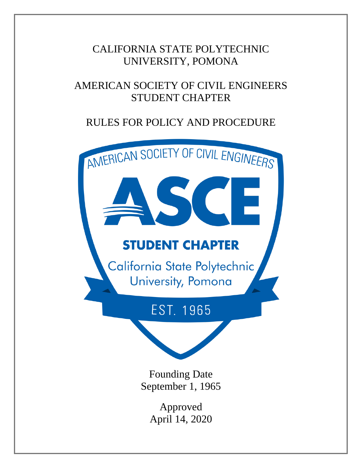## CALIFORNIA STATE POLYTECHNIC UNIVERSITY, POMONA

# AMERICAN SOCIETY OF CIVIL ENGINEERS STUDENT CHAPTER

# RULES FOR POLICY AND PROCEDURE

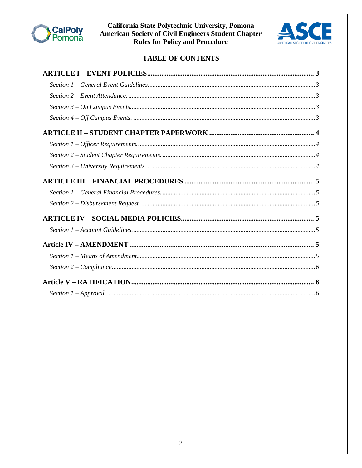



## TABLE OF CONTENTS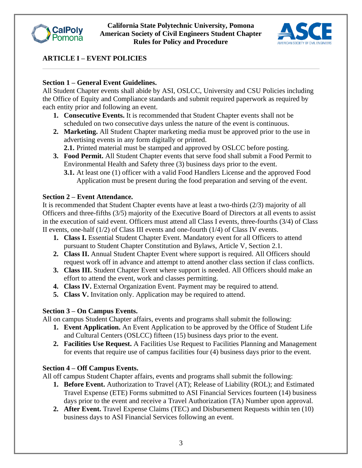



## **ARTICLE I – EVENT POLICIES**

### **Section 1 – General Event Guidelines.**

All Student Chapter events shall abide by ASI, OSLCC, University and CSU Policies including the Office of Equity and Compliance standards and submit required paperwork as required by each entity prior and following an event.

- **1. Consecutive Events.** It is recommended that Student Chapter events shall not be scheduled on two consecutive days unless the nature of the event is continuous.
- **2. Marketing.** All Student Chapter marketing media must be approved prior to the use in advertising events in any form digitally or printed.
	- **2.1.** Printed material must be stamped and approved by OSLCC before posting.
- **3. Food Permit.** All Student Chapter events that serve food shall submit a Food Permit to Environmental Health and Safety three (3) business days prior to the event.
	- **3.1.** At least one (1) officer with a valid Food Handlers License and the approved Food Application must be present during the food preparation and serving of the event.

### **Section 2 – Event Attendance.**

It is recommended that Student Chapter events have at least a two-thirds (2/3) majority of all Officers and three-fifths (3/5) majority of the Executive Board of Directors at all events to assist in the execution of said event. Officers must attend all Class I events, three-fourths (3/4) of Class II events, one-half (1/2) of Class III events and one-fourth (1/4) of Class IV events.

- **1. Class I.** Essential Student Chapter Event. Mandatory event for all Officers to attend pursuant to Student Chapter Constitution and Bylaws, Article V, Section 2.1.
- **2. Class II.** Annual Student Chapter Event where support is required. All Officers should request work off in advance and attempt to attend another class section if class conflicts.
- **3. Class III.** Student Chapter Event where support is needed. All Officers should make an effort to attend the event, work and classes permitting.
- **4. Class IV.** External Organization Event. Payment may be required to attend.
- **5. Class V.** Invitation only. Application may be required to attend.

## **Section 3 – On Campus Events.**

All on campus Student Chapter affairs, events and programs shall submit the following:

- **1. Event Application.** An Event Application to be approved by the Office of Student Life and Cultural Centers (OSLCC) fifteen (15) business days prior to the event.
- **2. Facilities Use Request.** A Facilities Use Request to Facilities Planning and Management for events that require use of campus facilities four (4) business days prior to the event.

## **Section 4 – Off Campus Events.**

All off campus Student Chapter affairs, events and programs shall submit the following:

- **1. Before Event.** Authorization to Travel (AT); Release of Liability (ROL); and Estimated Travel Expense (ETE) Forms submitted to ASI Financial Services fourteen (14) business days prior to the event and receive a Travel Authorization (TA) Number upon approval.
- **2. After Event.** Travel Expense Claims (TEC) and Disbursement Requests within ten (10) business days to ASI Financial Services following an event.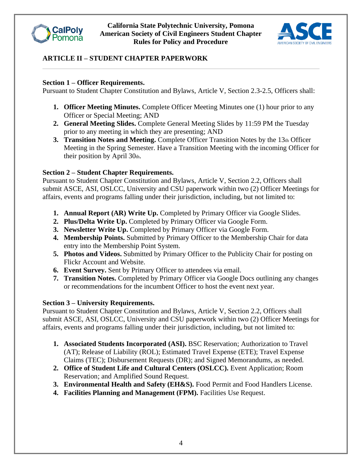



## **ARTICLE II – STUDENT CHAPTER PAPERWORK**

#### **Section 1 – Officer Requirements.**

Pursuant to Student Chapter Constitution and Bylaws, Article V, Section 2.3-2.5, Officers shall:

- **1. Officer Meeting Minutes.** Complete Officer Meeting Minutes one (1) hour prior to any Officer or Special Meeting; AND
- **2. General Meeting Slides.** Complete General Meeting Slides by 11:59 PM the Tuesday prior to any meeting in which they are presenting; AND
- **3. Transition Notes and Meeting.** Complete Officer Transition Notes by the 13th Officer Meeting in the Spring Semester. Have a Transition Meeting with the incoming Officer for their position by April 30th.

### **Section 2 – Student Chapter Requirements.**

Pursuant to Student Chapter Constitution and Bylaws, Article V, Section 2.2, Officers shall submit ASCE, ASI, OSLCC, University and CSU paperwork within two (2) Officer Meetings for affairs, events and programs falling under their jurisdiction, including, but not limited to:

- **1. Annual Report (AR) Write Up.** Completed by Primary Officer via Google Slides.
- **2. Plus/Delta Write Up.** Completed by Primary Officer via Google Form.
- **3. Newsletter Write Up.** Completed by Primary Officer via Google Form.
- **4. Membership Points.** Submitted by Primary Officer to the Membership Chair for data entry into the Membership Point System.
- **5. Photos and Videos.** Submitted by Primary Officer to the Publicity Chair for posting on Flickr Account and Website.
- **6. Event Survey.** Sent by Primary Officer to attendees via email.
- **7. Transition Notes.** Completed by Primary Officer via Google Docs outlining any changes or recommendations for the incumbent Officer to host the event next year.

### **Section 3 – University Requirements.**

Pursuant to Student Chapter Constitution and Bylaws, Article V, Section 2.2, Officers shall submit ASCE, ASI, OSLCC, University and CSU paperwork within two (2) Officer Meetings for affairs, events and programs falling under their jurisdiction, including, but not limited to:

- **1. Associated Students Incorporated (ASI).** BSC Reservation; Authorization to Travel (AT); Release of Liability (ROL); Estimated Travel Expense (ETE); Travel Expense Claims (TEC); Disbursement Requests (DR); and Signed Memorandums, as needed.
- **2. Office of Student Life and Cultural Centers (OSLCC).** Event Application; Room Reservation; and Amplified Sound Request.
- **3. Environmental Health and Safety (EH&S).** Food Permit and Food Handlers License.
- **4. Facilities Planning and Management (FPM).** Facilities Use Request.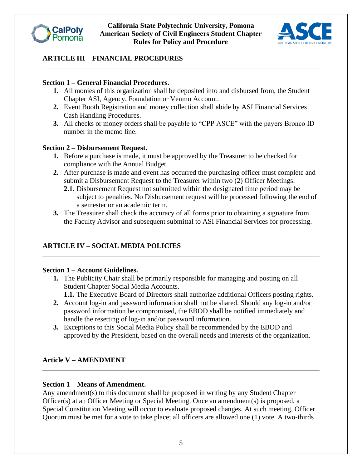



## **ARTICLE III – FINANCIAL PROCEDURES**

#### **Section 1 – General Financial Procedures.**

- **1.** All monies of this organization shall be deposited into and disbursed from, the Student Chapter ASI, Agency, Foundation or Venmo Account.
- **2.** Event Booth Registration and money collection shall abide by ASI Financial Services Cash Handling Procedures.
- **3.** All checks or money orders shall be payable to "CPP ASCE" with the payers Bronco ID number in the memo line.

#### **Section 2 – Disbursement Request.**

- **1.** Before a purchase is made, it must be approved by the Treasurer to be checked for compliance with the Annual Budget.
- **2.** After purchase is made and event has occurred the purchasing officer must complete and submit a Disbursement Request to the Treasurer within two (2) Officer Meetings.
	- **2.1.** Disbursement Request not submitted within the designated time period may be subject to penalties. No Disbursement request will be processed following the end of a semester or an academic term.
- **3.** The Treasurer shall check the accuracy of all forms prior to obtaining a signature from the Faculty Advisor and subsequent submittal to ASI Financial Services for processing.

## **ARTICLE IV – SOCIAL MEDIA POLICIES**

#### **Section 1 – Account Guidelines.**

- **1.** The Publicity Chair shall be primarily responsible for managing and posting on all Student Chapter Social Media Accounts.
	- **1.1.** The Executive Board of Directors shall authorize additional Officers posting rights.
- **2.** Account log-in and password information shall not be shared. Should any log-in and/or password information be compromised, the EBOD shall be notified immediately and handle the resetting of log-in and/or password information.
- **3.** Exceptions to this Social Media Policy shall be recommended by the EBOD and approved by the President, based on the overall needs and interests of the organization.

#### **Article V – AMENDMENT**

#### **Section 1 – Means of Amendment.**

Any amendment(s) to this document shall be proposed in writing by any Student Chapter Officer(s) at an Officer Meeting or Special Meeting. Once an amendment(s) is proposed, a Special Constitution Meeting will occur to evaluate proposed changes. At such meeting, Officer Quorum must be met for a vote to take place; all officers are allowed one (1) vote. A two-thirds